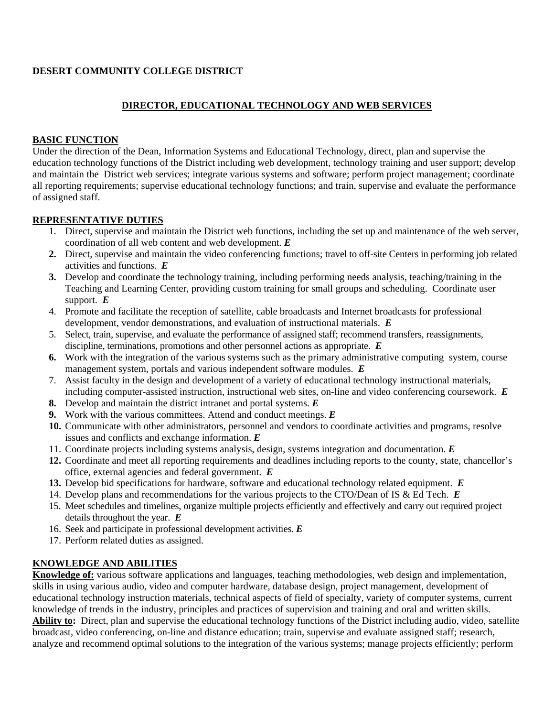### **DESERT COMMUNITY COLLEGE DISTRICT**

### **DIRECTOR, EDUCATIONAL TECHNOLOGY AND WEB SERVICES**

#### **BASIC FUNCTION**

Under the direction of the Dean, Information Systems and Educational Technology, direct, plan and supervise the education technology functions of the District including web development, technology training and user support; develop and maintain the District web services; integrate various systems and software; perform project management; coordinate all reporting requirements; supervise educational technology functions; and train, supervise and evaluate the performance of assigned staff.

#### **REPRESENTATIVE DUTIES**

- 1. Direct, supervise and maintain the District web functions, including the set up and maintenance of the web server, coordination of all web content and web development. *E*
- **2.** Direct, supervise and maintain the video conferencing functions; travel to off-site Centers in performing job related activities and functions. *E*
- **3.** Develop and coordinate the technology training, including performing needs analysis, teaching/training in the Teaching and Learning Center, providing custom training for small groups and scheduling. Coordinate user support. *E*
- 4. Promote and facilitate the reception of satellite, cable broadcasts and Internet broadcasts for professional development, vendor demonstrations, and evaluation of instructional materials. *E*
- 5. Select, train, supervise, and evaluate the performance of assigned staff; recommend transfers, reassignments, discipline, terminations, promotions and other personnel actions as appropriate. *E*
- **6.** Work with the integration of the various systems such as the primary administrative computing system, course management system, portals and various independent software modules. *E*
- 7. Assist faculty in the design and development of a variety of educational technology instructional materials, including computer-assisted instruction, instructional web sites, on-line and video conferencing coursework. *E*
- **8.** Develop and maintain the district intranet and portal systems. *E*
- **9.** Work with the various committees. Attend and conduct meetings. *E*
- **10.** Communicate with other administrators, personnel and vendors to coordinate activities and programs, resolve issues and conflicts and exchange information. *E*
- 11. Coordinate projects including systems analysis, design, systems integration and documentation. *E*
- **12.** Coordinate and meet all reporting requirements and deadlines including reports to the county, state, chancellor's office, external agencies and federal government. *E*
- **13.** Develop bid specifications for hardware, software and educational technology related equipment. *E*
- 14. Develop plans and recommendations for the various projects to the CTO/Dean of IS & Ed Tech. *E*
- 15. Meet schedules and timelines, organize multiple projects efficiently and effectively and carry out required project details throughout the year. *E*
- 16. Seek and participate in professional development activities. *E*
- 17. Perform related duties as assigned.

#### **KNOWLEDGE AND ABILITIES**

**Knowledge of:** various software applications and languages, teaching methodologies, web design and implementation, skills in using various audio, video and computer hardware, database design, project management, development of educational technology instruction materials, technical aspects of field of specialty, variety of computer systems, current knowledge of trends in the industry, principles and practices of supervision and training and oral and written skills. **Ability to:** Direct, plan and supervise the educational technology functions of the District including audio, video, satellite broadcast, video conferencing, on-line and distance education; train, supervise and evaluate assigned staff; research, analyze and recommend optimal solutions to the integration of the various systems; manage projects efficiently; perform